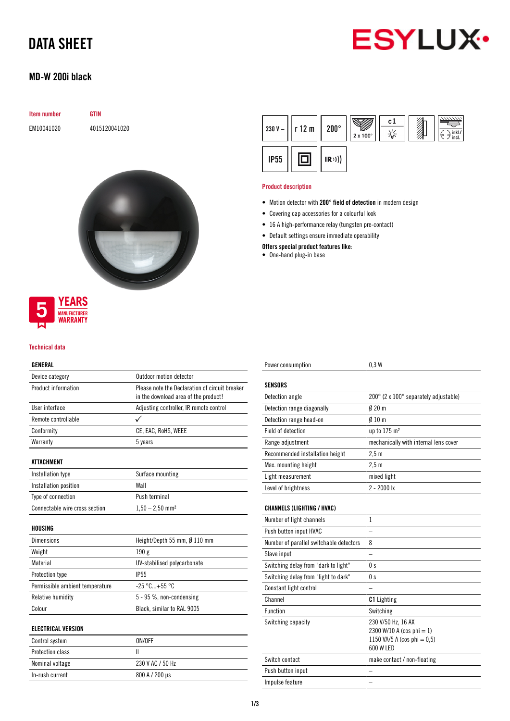

# DATA SHEET

## MD-W 200i black

| Item number |
|-------------|
|             |

**GTIN** EM10041020 4015120041020



### **YEARS MANUFACTURER** *NARRANTY*

### Technical data

### GENERAL

| Device category                 | Outdoor motion detector                        |  |
|---------------------------------|------------------------------------------------|--|
| Product information             | Please note the Declaration of circuit breaker |  |
|                                 | in the download area of the product!           |  |
| User interface                  | Adjusting controller, IR remote control        |  |
| Remote controllable             |                                                |  |
| Conformity                      | CE, EAC, RoHS, WEEE                            |  |
| Warranty                        | 5 years                                        |  |
| <b>ATTACHMENT</b>               |                                                |  |
| Installation type               | Surface mounting                               |  |
| Installation position           | Wall                                           |  |
| Type of connection              | Push terminal                                  |  |
| Connectable wire cross section  | $1,50 - 2,50$ mm <sup>2</sup>                  |  |
| HOUSING                         |                                                |  |
| <b>Dimensions</b>               | Height/Depth 55 mm, Ø 110 mm                   |  |
| Weight                          | 190g                                           |  |
| Material                        | UV-stabilised polycarbonate                    |  |
| Protection type                 | IP <sub>55</sub>                               |  |
| Permissible ambient temperature | $-25 °C + 55 °C$                               |  |
| Relative humidity               | 5 - 95 %, non-condensing                       |  |
| Colour                          | Black, similar to RAL 9005                     |  |
| <b>ELECTRICAL VERSION</b>       |                                                |  |
| Control system                  | ON/OFF                                         |  |
| Protection class                | $\mathbf{I}$                                   |  |

Nominal voltage 230 V AC / 50 Hz In-rush current 800 A / 200 µs

|             | $\frac{1}{230}$ V ~ $\vert$   r 12 m $\vert$   200 $^{\circ}$ |      | $2 \times 100^\circ$ | c1 | œ<br>Ь<br>incl. |
|-------------|---------------------------------------------------------------|------|----------------------|----|-----------------|
| <b>IP55</b> |                                                               | (R)) |                      |    |                 |

#### Product description

- Motion detector with 200° field of detection in modern design
- Covering cap accessories for a colourful look
- 16 A high-performance relay (tungsten pre-contact)
- Default settings ensure immediate operability

Offers special product features like:

• One-hand plug-in base

| Power consumption                       | 0.3W                                  |
|-----------------------------------------|---------------------------------------|
|                                         |                                       |
| <b>SENSORS</b>                          |                                       |
| Detection angle                         | 200° (2 x 100° separately adjustable) |
| Detection range diagonally              | $0/20$ m                              |
| Detection range head-on                 | $010 \text{ m}$                       |
| Field of detection                      | up to 175 m <sup>2</sup>              |
| Range adjustment                        | mechanically with internal lens cover |
| Recommended installation height         | $2,5$ m                               |
| Max. mounting height                    | 2.5 <sub>m</sub>                      |
| Light measurement                       | mixed light                           |
| Level of brightness                     | $2 - 2000$ lx                         |
|                                         |                                       |
| <b>CHANNELS (LIGHTING / HVAC)</b>       |                                       |
| Number of light channels                | 1                                     |
| Push button input HVAC                  |                                       |
| Number of parallel switchable detectors | 8                                     |
| Slave input                             |                                       |
| Switching delay from "dark to light"    | 0 <sub>s</sub>                        |
| Switching delay from "light to dark"    | 0 <sub>s</sub>                        |
| Constant light control                  |                                       |
| Channel                                 | <b>C1</b> Lighting                    |

2300 W/10 A (cos phi = 1) 1150 VA/5 A (cos phi =  $0,5$ )

600 W LED

Function Switching Switching capacity 230 V/50 Hz, 16 AX

Push button input the state of  $\sim$ Impulse feature –

Switch contact make contact / non-floating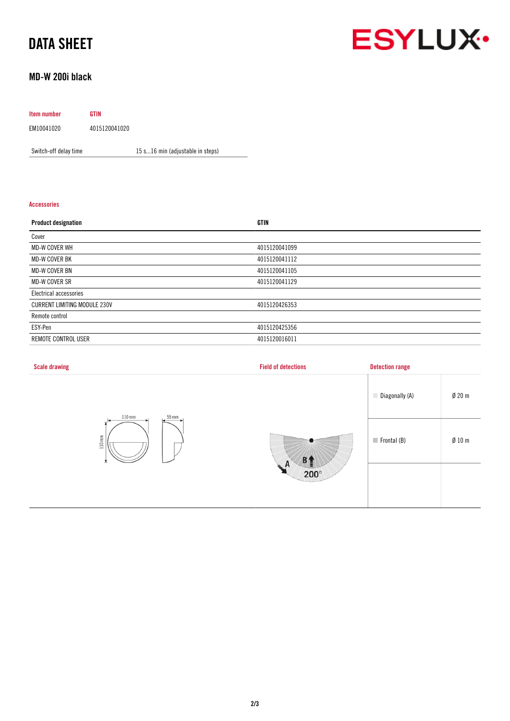# DATA SHEET

# **ESYLUX·**

## MD-W 200i black

## Item number GTIN EM10041020 4015120041020

Switch-off delay time 15 s...16 min (adjustable in steps)

### Accessories

| <b>Product designation</b>          | GTIN          |
|-------------------------------------|---------------|
| Cover                               |               |
| <b>MD-W COVER WH</b>                | 4015120041099 |
| MD-W COVER BK                       | 4015120041112 |
| MD-W COVER BN                       | 4015120041105 |
| <b>MD-W COVER SR</b>                | 4015120041129 |
| Electrical accessories              |               |
| <b>CURRENT LIMITING MODULE 230V</b> | 4015120426353 |
| Remote control                      |               |
| ESY-Pen                             | 4015120425356 |
| REMOTE CONTROL USER                 | 4015120016011 |

| <b>Scale drawing</b>                               | <b>Field of detections</b>                                       | <b>Detection range</b>     |                  |
|----------------------------------------------------|------------------------------------------------------------------|----------------------------|------------------|
| $110 \,\mathrm{mm}$<br>55 mm<br>$110\,\mathrm{mm}$ |                                                                  | Diagonally (A)             | $\emptyset$ 20 m |
|                                                    | <b>B1</b><br>$\sim$ A<br>$200^\circ$<br><b><i>Changement</i></b> | $\blacksquare$ Frontal (B) | $\emptyset$ 10 m |
|                                                    |                                                                  |                            |                  |